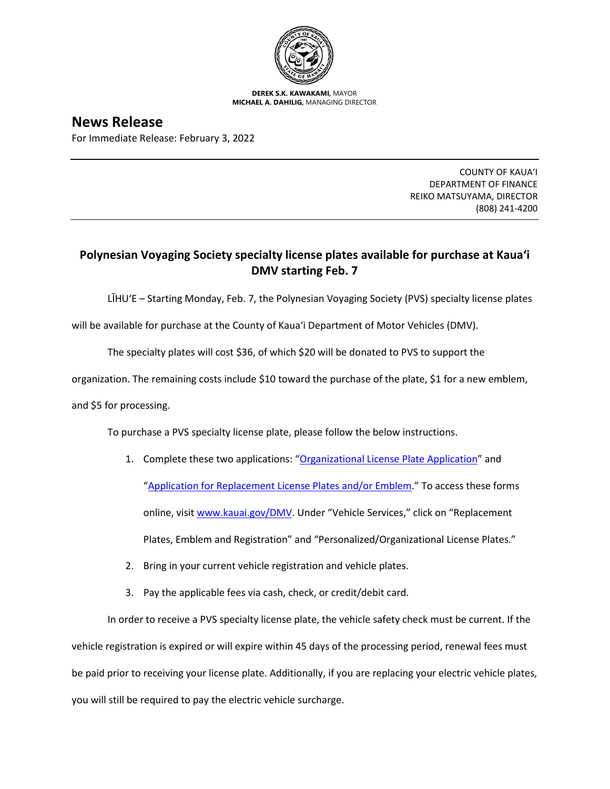

**DEREK S.K. KAWAKAMI,** MAYOR **MICHAEL A. DAHILIG,** MANAGING DIRECTOR

## **News Release**

For Immediate Release: February 3, 2022

COUNTY OF KAUA'I DEPARTMENT OF FINANCE REIKO MATSUYAMA, DIRECTOR (808) 241-4200

## **Polynesian Voyaging Society specialty license plates available for purchase at Kaua'i DMV starting Feb. 7**

LĪHU'E – Starting Monday, Feb. 7, the Polynesian Voyaging Society (PVS) specialty license plates

will be available for purchase at the County of Kaua'i Department of Motor Vehicles (DMV).

The specialty plates will cost \$36, of which \$20 will be donated to PVS to support the

organization. The remaining costs include \$10 toward the purchase of the plate, \$1 for a new emblem,

and \$5 for processing.

To purchase a PVS specialty license plate, please follow the below instructions.

- 1. Complete these two applications: ["Organizational License Plate Application"](https://www.kauai.gov/Portals/0/Finance_Treasury/MV/Application-Replacement%20for%20Organization%20License-Decal%28s%29.pdf) and ["Application for Replacement License Plates and/or Emblem.](https://www.kauai.gov/Portals/0/Finance_Treasury/MV/ApplicationForReplacement_LicencePlate_Emblem.pdf)" To access these forms online, visi[t www.kauai.gov/DMV.](http://www.kauai.gov/DMV) Under "Vehicle Services," click on "Replacement Plates, Emblem and Registration" and "Personalized/Organizational License Plates."
- 2. Bring in your current vehicle registration and vehicle plates.
- 3. Pay the applicable fees via cash, check, or credit/debit card.

In order to receive a PVS specialty license plate, the vehicle safety check must be current. If the vehicle registration is expired or will expire within 45 days of the processing period, renewal fees must be paid prior to receiving your license plate. Additionally, if you are replacing your electric vehicle plates, you will still be required to pay the electric vehicle surcharge.